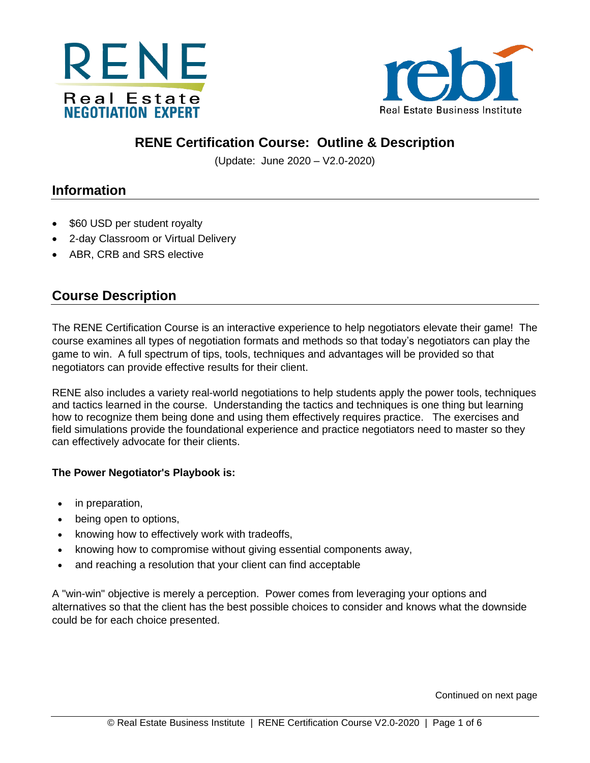



# **RENE Certification Course: Outline & Description**

(Update: June 2020 – V2.0-2020)

# **Information**

- \$60 USD per student royalty
- 2-day Classroom or Virtual Delivery
- ABR, CRB and SRS elective

# **Course Description**

The RENE Certification Course is an interactive experience to help negotiators elevate their game! The course examines all types of negotiation formats and methods so that today's negotiators can play the game to win. A full spectrum of tips, tools, techniques and advantages will be provided so that negotiators can provide effective results for their client.

RENE also includes a variety real-world negotiations to help students apply the power tools, techniques and tactics learned in the course. Understanding the tactics and techniques is one thing but learning how to recognize them being done and using them effectively requires practice. The exercises and field simulations provide the foundational experience and practice negotiators need to master so they can effectively advocate for their clients.

### **The Power Negotiator's Playbook is:**

- in preparation,
- being open to options,
- knowing how to effectively work with tradeoffs,
- knowing how to compromise without giving essential components away,
- and reaching a resolution that your client can find acceptable

A "win-win" objective is merely a perception. Power comes from leveraging your options and alternatives so that the client has the best possible choices to consider and knows what the downside could be for each choice presented.

Continued on next page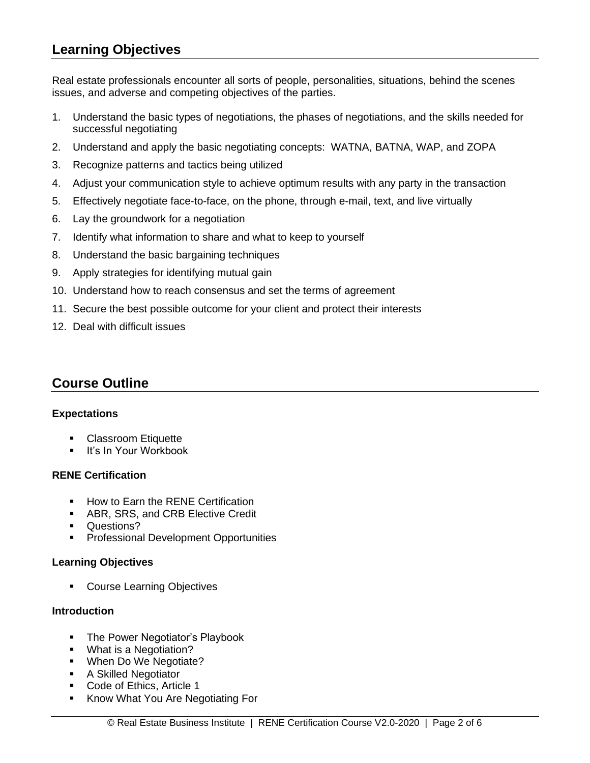# **Learning Objectives**

Real estate professionals encounter all sorts of people, personalities, situations, behind the scenes issues, and adverse and competing objectives of the parties.

- 1. Understand the basic types of negotiations, the phases of negotiations, and the skills needed for successful negotiating
- 2. Understand and apply the basic negotiating concepts: WATNA, BATNA, WAP, and ZOPA
- 3. Recognize patterns and tactics being utilized
- 4. Adjust your communication style to achieve optimum results with any party in the transaction
- 5. Effectively negotiate face-to-face, on the phone, through e-mail, text, and live virtually
- 6. Lay the groundwork for a negotiation
- 7. Identify what information to share and what to keep to yourself
- 8. Understand the basic bargaining techniques
- 9. Apply strategies for identifying mutual gain
- 10. Understand how to reach consensus and set the terms of agreement
- 11. Secure the best possible outcome for your client and protect their interests
- 12. Deal with difficult issues

## **Course Outline**

#### **Expectations**

- Classroom Etiquette
- It's In Your Workbook

#### **RENE Certification**

- How to Earn the RENE Certification
- ABR, SRS, and CRB Elective Credit
- Questions?
- **Professional Development Opportunities**

#### **Learning Objectives**

■ Course Learning Objectives

#### **Introduction**

- **The Power Negotiator's Playbook**
- What is a Negotiation?
- When Do We Negotiate?
- A Skilled Negotiator
- Code of Ethics, Article 1
- Know What You Are Negotiating For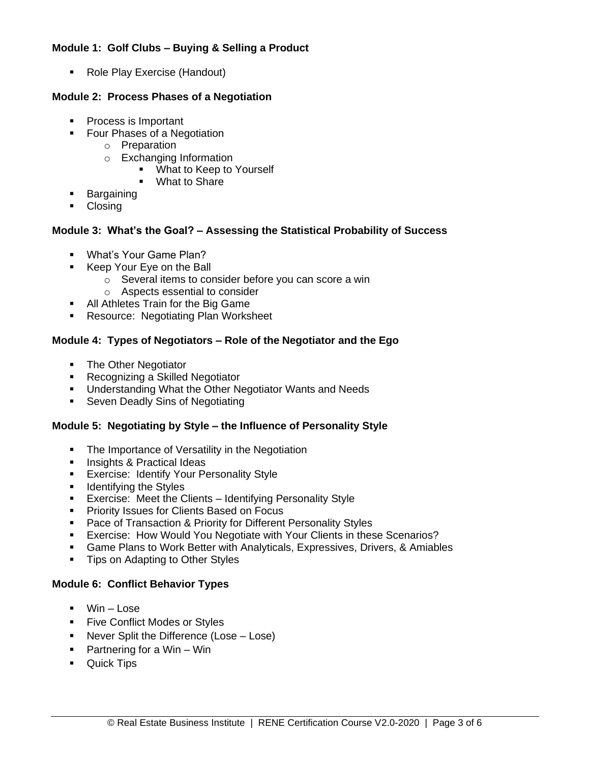### **Module 1: Golf Clubs – Buying & Selling a Product**

■ Role Play Exercise (Handout)

#### **Module 2: Process Phases of a Negotiation**

- Process is Important
- **EXEC** Four Phases of a Negotiation
	- o Preparation
	- o Exchanging Information
		- **■** What to Keep to Yourself
		- What to Share
- **■** Bargaining
- Closing

#### **Module 3: What's the Goal? – Assessing the Statistical Probability of Success**

- What's Your Game Plan?
- Keep Your Eye on the Ball
	- o Several items to consider before you can score a win
	- o Aspects essential to consider
- All Athletes Train for the Big Game
- Resource: Negotiating Plan Worksheet

#### **Module 4: Types of Negotiators – Role of the Negotiator and the Ego**

- The Other Negotiator
- Recognizing a Skilled Negotiator
- Understanding What the Other Negotiator Wants and Needs
- Seven Deadly Sins of Negotiating

#### **Module 5: Negotiating by Style – the Influence of Personality Style**

- **•** The Importance of Versatility in the Negotiation
- **·** Insights & Practical Ideas
- **Exercise: Identify Your Personality Style**
- Identifying the Styles
- **Exercise: Meet the Clients Identifying Personality Style**
- **Priority Issues for Clients Based on Focus**
- Pace of Transaction & Priority for Different Personality Styles
- **Exercise: How Would You Negotiate with Your Clients in these Scenarios?**
- **Game Plans to Work Better with Analyticals, Expressives, Drivers, & Amiables**
- Tips on Adapting to Other Styles

### **Module 6: Conflict Behavior Types**

- $\blacksquare$  Win Lose
- **EXECONFLICT Modes or Styles**
- Never Split the Difference (Lose Lose)
- Partnering for a Win Win
- Quick Tips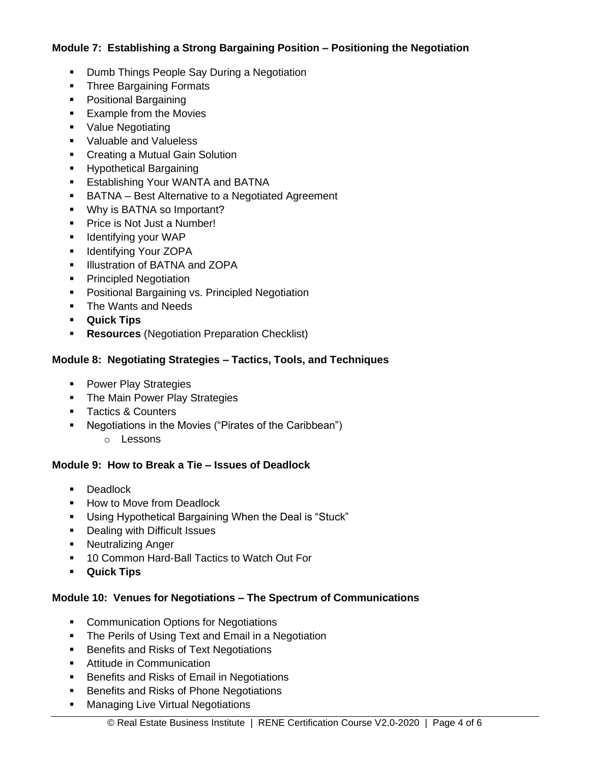## **Module 7: Establishing a Strong Bargaining Position – Positioning the Negotiation**

- Dumb Things People Say During a Negotiation
- **Three Bargaining Formats**
- Positional Bargaining
- Example from the Movies
- Value Negotiating
- Valuable and Valueless
- Creating a Mutual Gain Solution
- Hypothetical Bargaining
- **E** Establishing Your WANTA and BATNA
- BATNA Best Alternative to a Negotiated Agreement
- Why is BATNA so Important?
- Price is Not Just a Number!
- Identifying your WAP
- **■** Identifying Your ZOPA
- **■** Illustration of BATNA and ZOPA
- Principled Negotiation
- Positional Bargaining vs. Principled Negotiation
- The Wants and Needs
- **Quick Tips**
- **Resources** (Negotiation Preparation Checklist)

### **Module 8: Negotiating Strategies – Tactics, Tools, and Techniques**

- Power Play Strategies
- **The Main Power Play Strategies**
- Tactics & Counters
- Negotiations in the Movies ("Pirates of the Caribbean")
	- o Lessons

### **Module 9: How to Break a Tie – Issues of Deadlock**

- Deadlock
- How to Move from Deadlock
- Using Hypothetical Bargaining When the Deal is "Stuck"
- Dealing with Difficult Issues
- Neutralizing Anger
- 10 Common Hard-Ball Tactics to Watch Out For
- **Quick Tips**

### **Module 10: Venues for Negotiations – The Spectrum of Communications**

- Communication Options for Negotiations
- **The Perils of Using Text and Email in a Negotiation**
- Benefits and Risks of Text Negotiations
- **■** Attitude in Communication
- Benefits and Risks of Email in Negotiations
- Benefits and Risks of Phone Negotiations
- Managing Live Virtual Negotiations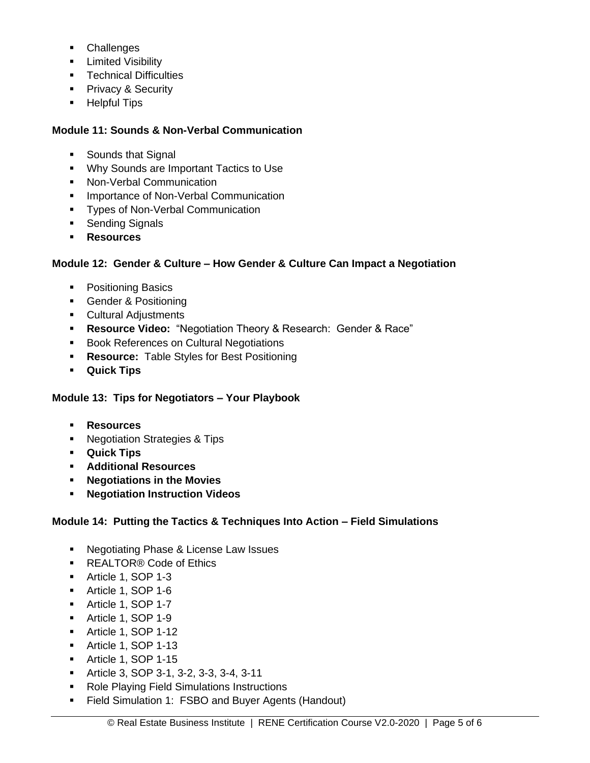- Challenges
- **E** Limited Visibility
- **•** Technical Difficulties
- Privacy & Security
- Helpful Tips

## **Module 11: Sounds & Non-Verbal Communication**

- Sounds that Signal
- Why Sounds are Important Tactics to Use
- Non-Verbal Communication
- **■** Importance of Non-Verbal Communication
- **Types of Non-Verbal Communication**
- Sending Signals
- **Resources**

## **Module 12: Gender & Culture – How Gender & Culture Can Impact a Negotiation**

- Positioning Basics
- Gender & Positioning
- Cultural Adiustments
- **Resource Video:** "Negotiation Theory & Research: Gender & Race"
- Book References on Cultural Negotiations
- **Resource:** Table Styles for Best Positioning
- **Quick Tips**

## **Module 13: Tips for Negotiators – Your Playbook**

- **Resources**
- **E** Negotiation Strategies & Tips
- **Quick Tips**
- **Additional Resources**
- **Negotiations in the Movies**
- **Negotiation Instruction Videos**

## **Module 14: Putting the Tactics & Techniques Into Action – Field Simulations**

- Negotiating Phase & License Law Issues
- REALTOR<sup>®</sup> Code of Ethics
- Article 1, SOP 1-3
- Article 1, SOP 1-6
- Article 1, SOP 1-7
- Article 1, SOP 1-9
- Article 1, SOP 1-12
- Article 1, SOP 1-13
- Article 1, SOP 1-15
- Article 3, SOP 3-1, 3-2, 3-3, 3-4, 3-11
- Role Playing Field Simulations Instructions
- **EXECT:** Field Simulation 1: FSBO and Buyer Agents (Handout)